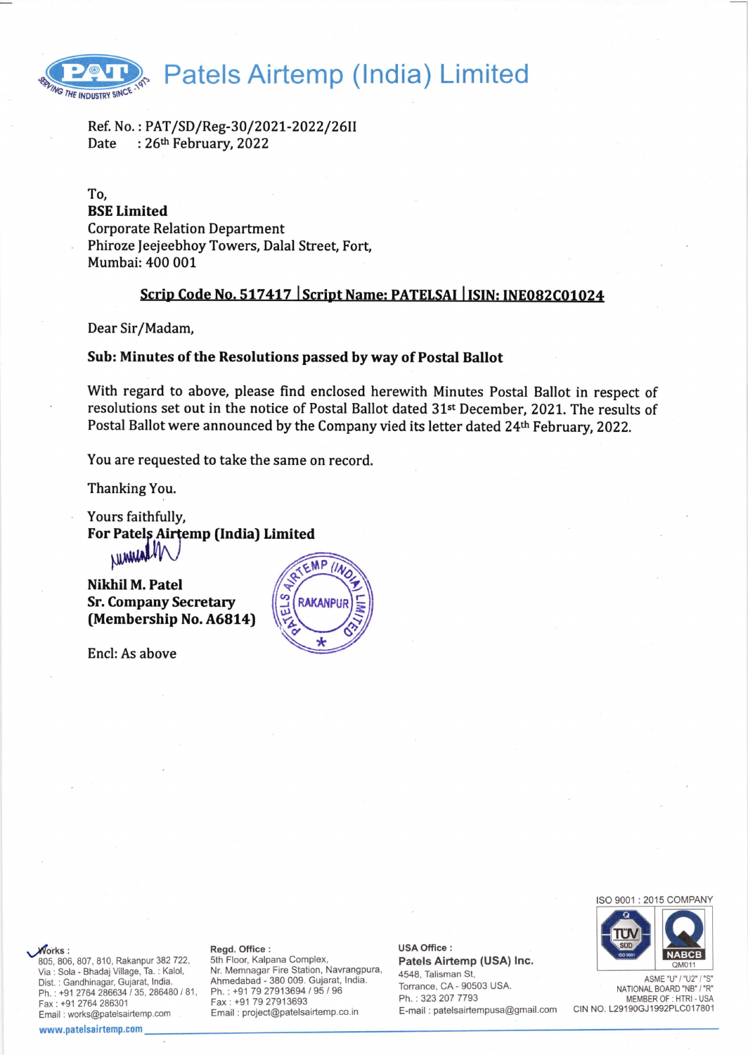

Ref. No. : PAT/SD/Reg-30/2021-2022/26II<br>Date : 26<sup>th</sup> February, 2022 : 26th February, 2022

To, BSE Limited Corporate Relation Department Phiroze Jeejeebhoy Towers, Dalal Street, Fort, Mumbai:400 001

# Scrip Code No. 517417 Script Name: PATELSAI | ISIN: INE082C01024

Dear Sir/Madam,

# Sub: Minutes of the Resolutions passed by way of Postal Ballot

With regard to above, please find enclosed herewith Minutes Postal Ballot in respect of resolutions set out in the notice of Postal Ballot dated 31st December, 2021. The results of Postal Ballot were announced by the Company vied its letter dated 24<sup>th</sup> February, 2022.

You are requested to take the same on record.

Thanking You.

Yours faithfully, For Patels Airtemp (India) Limited NrililrilNi

Nikhil M. Patel Sr. Company Secretary (Membership No.A6814)

Encl: As above



ISO 9001 : 2015 COMPANY



ASME "U" / "U2" NATIONAL BOARD "NB" / "R" MEMBER OF : HTRI - USA CIN NO. L29190GJ1992PLC017801

Norks:

-805, 806, 807, 810, Rakanpur 382 722, Via : Sola - Bhadaj Village, Ta. : Kalol, Dist. : Gandhinagar, Gujarat, India. Ph.: +91 2764 286634 / 35, 286480 / 81, Fax: +91 2764 286301 Email: works@patelsairtemp.com

#### www.patelsairtemp.com

#### Regd. Office :

5th Floor, Kalpana Complex, Nr. Memnagar Fire Station, Navrangpura, Ahmedabad - 380 009. Gujarat, lndia. Ph. : +91 79 27913694 / 95 / 96 Fax: +91 79 27913693 Email : project@patelsairtemp.co.in

USA Office : Patels Airtemp (USA) lnc. 4548, Talisman St, Torrance, CA- 90503 USA.

Ph. : 323 207 7793 E-mail : patelsairtempusa@gmail.com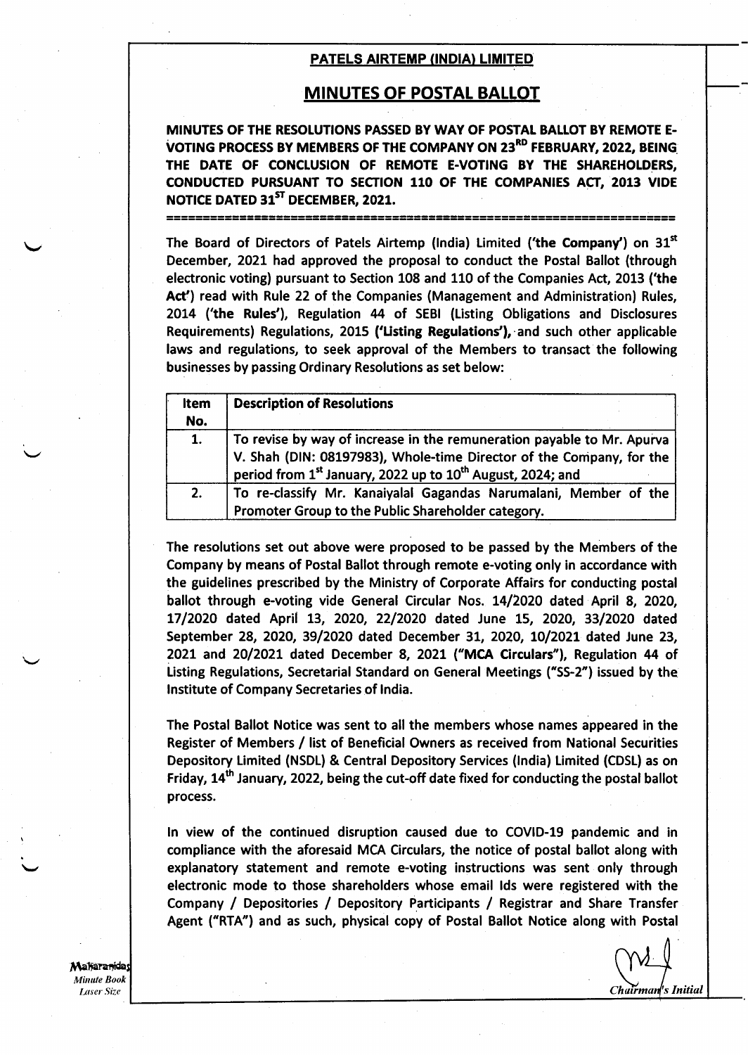## **MINUTES OF POSTAL BALLOT**

MINUTES OF THE RESOLUTIONS PASSED BY WAY OF POSTAL BALLOT BY REMOTE E. VOTING PROCESS BY MEMBERS OF THE COMPANY ON 23<sup>RD</sup> FEBRUARY, 2022, BEING THE DATE OF CONCLUSION OF REMOTE E-VOTING BY THE SHAREHOLDERS, CONDUCTED PURSUANT TO SECTION 110 OF THE COMPANIES ACT, 2013 VIDE NOTICE DATED 31<sup>ST</sup> DECEMBER, 2021. ]="=r=:=1]='=':=::::H',=:#31:======================================

The Board of Directors of Patels Airtemp (India) Limited ('the Company') on  $31<sup>st</sup>$ December, 2021 had approved the proposal to conduct the Postal Ballot (through electronic voting) pursuant to Section 108 and 110 of the Companies Act, 2013 ('the Act') read with Rule 22 of the Companies (Management and Administration) Rules, 2014 ('the Rules'), Regulation 44 of SEBI (Listing Obligations and Disclosures Requirements) Regulations, 2015 ('Listing Regulations'), and such other applicable laws and regulations, to seek approval of the Members to transact the following businesses by passing Ordinary Resolutions as set below:

| Item<br>No. | <b>Description of Resolutions</b>                                                                                                                                                                                                      |
|-------------|----------------------------------------------------------------------------------------------------------------------------------------------------------------------------------------------------------------------------------------|
| 1.          | To revise by way of increase in the remuneration payable to Mr. Apurva<br>V. Shah (DIN: 08197983), Whole-time Director of the Company, for the  <br>period from 1 <sup>st</sup> January, 2022 up to 10 <sup>th</sup> August, 2024; and |
| 2.          | To re-classify Mr. Kanaiyalal Gagandas Narumalani, Member of the<br>Promoter Group to the Public Shareholder category.                                                                                                                 |

The resolutions set out above were proposed to be passed by the Members of the Company by means of Postal Ballot through remote e-voting only in accordance with the guidelines prescribed by the Ministry of Corporate Affairs for conducting postal ballot through e-voting vide General Circular Nos. 14/2020 dated April 8, 2020, L7|2O2O dated Aprii L3, 2020, 22l2O2O dated June L5, 2020, 33l2O2O dated September 28, 2020, 39/2020 dated December 31, 2020, 10/2021 dated June 23, 2021 and 2O(2O2L dated December 8, 2O2L ("MCA Circulars"), Regulation 44 of Listing Regulations, Secretarial Standard on General Meetings ("SS-2") issued by the lnstitute of Company Secretaries of lndia.

The Postal Ballot Notice was sent to all the members whose names appeared in the Register of Members / Iist of Beneficial Owners as received from National Securities Depository Limited (NSDL) & Central Depository Services (lndia) Limited (CDSL) as on Friday,  $14<sup>th</sup>$  January, 2022, being the cut-off date fixed for conducting the postal ballot Process.

ln view of the continued disruption caused due to COVID-19 pandemic and in compliance with the aforesaid MCA Circulars, the notice of postal ballot along with explanatory statement and remote e-voting instructions was sent only through electronic mode to those shareholders whose email lds were registered with the Company / Depositories / Depository Participants / Registrar and Share Transfer Agent ("RTA") and as such, physical copy of Postal Ballot Notice along with Postal

Chairman's Initial

Maharanida Minute Book Laser Size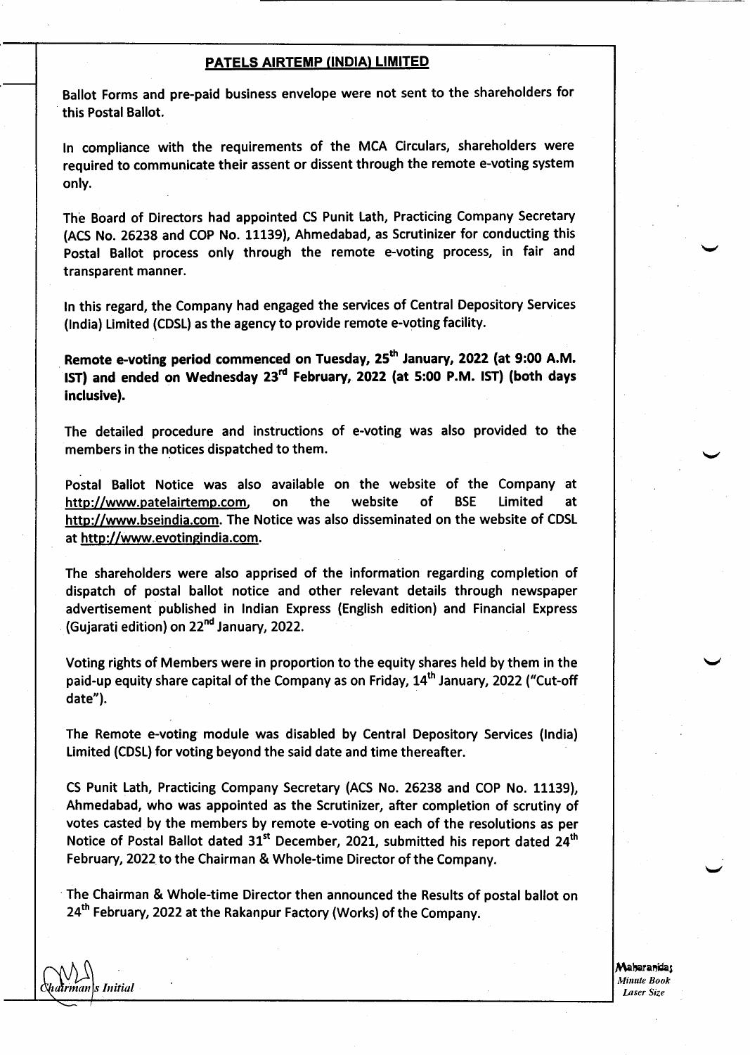Ballot Forms and pre-paid business envelope were not sent to the shareholders for this Postal Ballot.

tn compliance with the requirements of the MCA Circulars, shareholders were required to communicate their assent or dissent through the remote e-voting system only.

The Board of Directors had appointed CS Punit Lath, Practicing Company Secretary (ACS No. 26238 and COP No. 11139), Ahmedabad, as Scrutinizer for conducting this Postal Ballot process only through the remote e-voting process, in fair and transparent manner.

ln this regard, the Company had engaged the services of Central Depository Services (lndia) Limited (CDSL) as the agency to provide remote e-voting facility.

Remote e-voting period commenced on Tuesday, 25<sup>th</sup> January, 2022 (at 9:00 A.M. IST) and ended on Wednesday 23<sup>rd</sup> February, 2022 (at 5:00 P.M. IST) (both days inclusive).

The detailed procedure and instructions of e-voting was also provided to the members in the notices dispatched to them.

Postal Ballot Notice was also available on the website of the Company at http://www.patelairtemp.com, on the website of BSE Limited at http://www.bseindia.com. The Notice was also disseminated on the website of CDSL at http://www.evotingindia.com.

The shareholders were also apprised of the information regarding completion of dispatch of postal ballot notice and other relevant details through newspaper advertisement published in lndian Express (English edition) and Financial Express (Gujarati edition) on 22"d January, 2022.

Voting rights of Members were in proportion to the equity shares held by them in the paid-up equity share capital of the Company as on Friday, 14<sup>th</sup> January, 2022 ("Cut-off date").

The Remote e-voting module was disabled by Central Depository Services (lndia) Limited (CDSL) for voting beyond the said date and time thereafter.

CS Punit Lath, Practicing Company Secretary (ACS No. 26238 and COP No. 11139), Ahmedabad, who was appointed as the Scrutinizer, after completion of scrutiny of votes casted by the members by remote e-voting on each of the resolutions as per Notice of Postal Ballot dated 31<sup>st</sup> December, 2021, submitted his report dated 24<sup>th</sup> February, 2022 to the Chairman & Whole-time Director of the Company.

The Chairman & Whole-time Director then announced the Results of postal ballot on 24<sup>th</sup> February, 2022 at the Rakanpur Factory (Works) of the Company.

**\hairman|s Initial** 

Maharanidas Minute Book Laser Size

v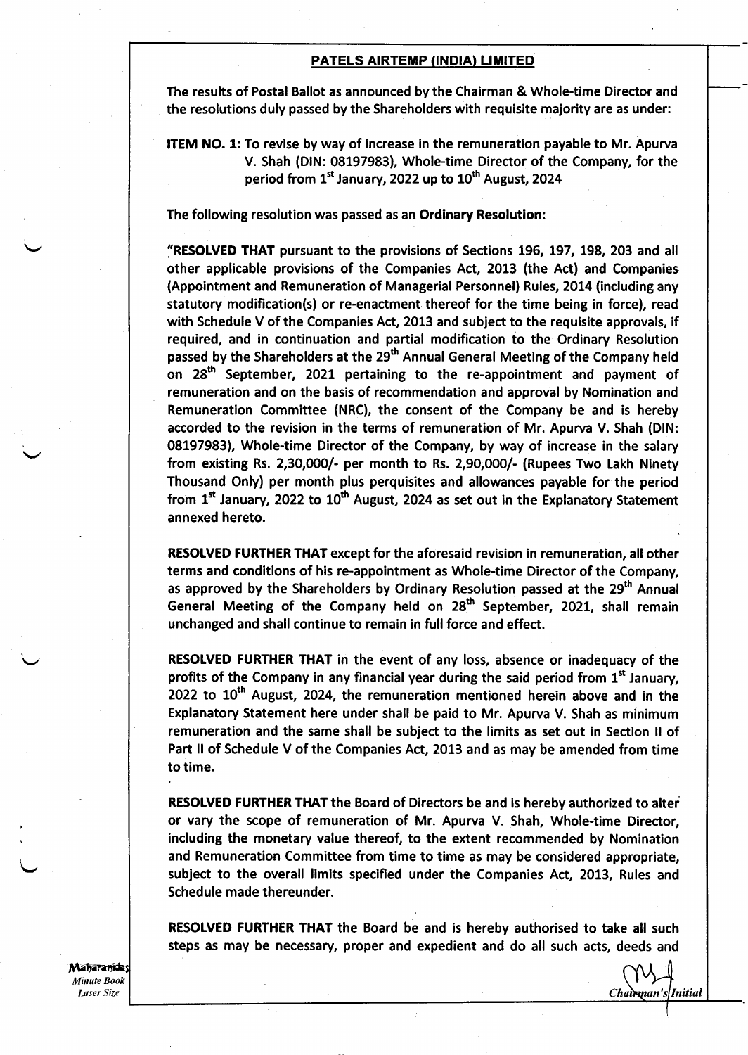The results of Postal Ballot as announced by the Chairman & Whole-time Director and the resolutions duly passed by the Shareholders with requisite majority are as under:

ITEM NO. 1: To revise by way of increase in the remuneration payable to Mr. Apurva V. Shah (DlN: 08197983), Whole-time Director of the Company, for the period from  $1<sup>st</sup>$  January, 2022 up to  $10<sup>th</sup>$  August, 2024

The following resolution was passed as an Ordinary Resolution:

"RESOLVED THAT pursuant to the provisions of Sections 196, 197, 198, 203 and all other applicable provisions of the Companies Act, 2013 (the Act) and Companies (Appointment and Remuneration of Managerial Personnel) Rules, 2014 (including any statutory modification(s) or re-enactment thereof for the time being in force), read with Schedule V of the Companies Act, 2013 and subject to the requisite approvals, if required, and in continuation and partial modification to the Ordinary Resolution passed by the Shareholders at the 29<sup>th</sup> Annual General Meeting of the Company held on 28<sup>th</sup> September, 2021 pertaining to the re-appointment and payment of remuneration and on the basis of recommendation and approval by Nomination and Remuneration Committee (NRC), the consent of the Company be and is hereby accorded to the revision in the terms of remuneration of Mr. Apurva V. Shah (DlN: 08197983), Whole-time Director of the Company, by way of increase in the salary from existing Rs. 2,3O,OOO|- per month to Rs. 2,9O,OOO|- (Rupees Two Lakh Ninety Thousand Only) per month plus perquisites and allowances payable for the period from  $1<sup>st</sup>$  January, 2022 to  $10<sup>th</sup>$  August, 2024 as set out in the Explanatory Statement annexed hereto.

RESOLVED FURTHER THAT except for the aforesaid revision in remuneration, all other terms and conditions of his re-appointment as Whole-time Director of the Company, as approved by the Shareholders by Ordinary Resolution passed at the 29<sup>th</sup> Annual General Meeting of the Company held on  $28<sup>th</sup>$  September, 2021, shall remain unchanged and shall continue to remain in full force and effect.

RESOLVED FURTHER THAT in the event of any Ioss, absence or inadequacy of the profits of the Company in any financial year during the said period from  $1<sup>st</sup>$  January, 2022 to  $10<sup>th</sup>$  August, 2024, the remuneration mentioned herein above and in the Explanatory Statement here under shall be paid to Mr. Apurva V. Shah as minimum remuneration and the same shall be subject to the limits as set out in Section ll of Part II of Schedule V of the Companies Act, 2013 and as may be amended from time to time.

RESOLVED FURTHER THAT the Board of Directors be and is hereby authorized to alter or vary the scope of remuneration of Mr. Apurva V. Shah, Whole-time Director, including the monetary value thereof, to the extent recommended by Nomination and Remuneration Committee from time to time as may be considered appropriate, subject to the overall limits specified under the Companies Act, 2013, Rules and Schedule made thereunder.

RESOLVED FURTHER THAT the Board be and is hereby authorised to take all such steps as may be necessary, proper and expedient and do all such acts, deeds and

Maharanidas Minute Book **Laser Size** 

I

Chairman's Initial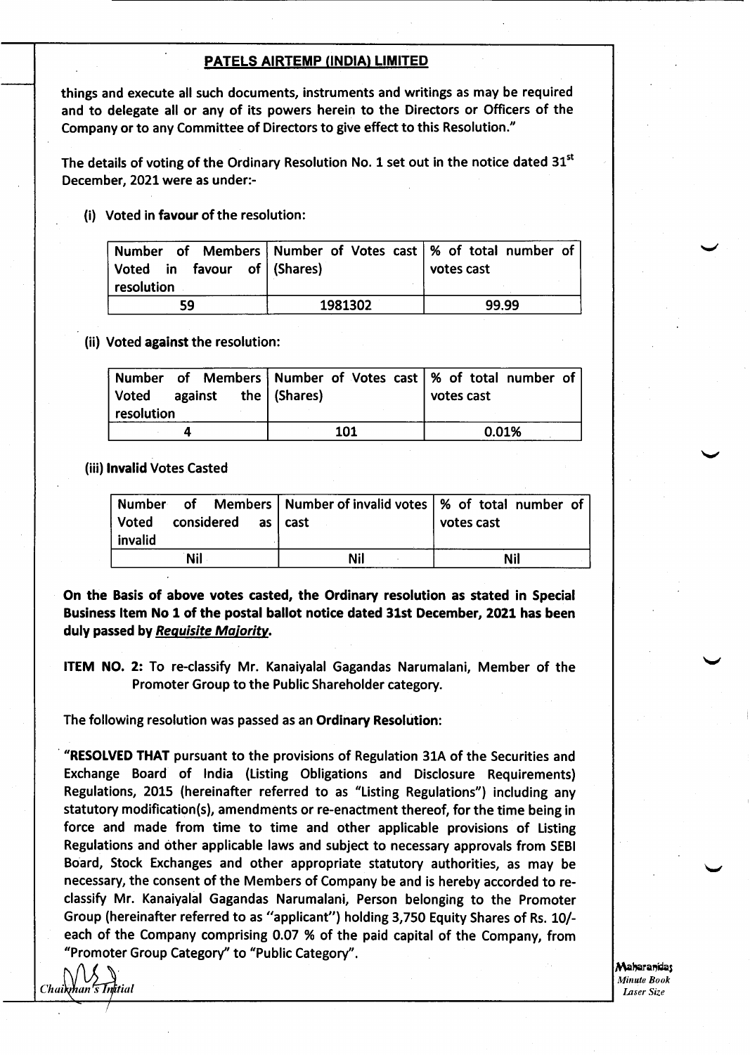things and execute all such documents, instruments and writings as may be required and to delegate all or any of its powers herein to the Directors or Officers of the Company or to any Committee of Directors to give effect to this Resolution."

The details of voting of the Ordinary Resolution No. 1 set out in the notice dated  $31<sup>st</sup>$ December, 2021were as under:-

(i) Voted in favour of the resolution:

| Number of Members   Number of Votes cast   % of total number of<br>Voted in favour of (Shares)<br>resolution |         | votes cast |
|--------------------------------------------------------------------------------------------------------------|---------|------------|
| 59                                                                                                           | 1981302 | 99.99      |

(ii) Voted against the resolution:

| resolution | $\sqrt{a}$ voted against the (Shares) |     | Number of Members Number of Votes cast   % of total number of<br>votes cast |
|------------|---------------------------------------|-----|-----------------------------------------------------------------------------|
|            |                                       | 101 | 0.01%                                                                       |

(iii) lnvalid Votes Casted

| Number of Members   Number of invalid votes   % of total number of<br>  Voted<br>considered as cast<br>  invalid |     | votes cast |
|------------------------------------------------------------------------------------------------------------------|-----|------------|
| <b>Nil</b>                                                                                                       | Nil | Nil        |

On the Basis of above votes casted, the Ordinary resolution as stated in Special Business Item No 1 of the postal ballot notice dated 31st December, 2021 has been duly passed by Requisite Majority.

ITEM NO. 2: To re-classify Mr. Kanaiyalal Gagandas Narumalani, Member of the Promoter Group to the Public Shareholder category.

The following resolution was passed as an Ordinary Resolution:

"RESOLVED THAT pursuant to the provisions of Regulation 31A of the Securities and Exchange Board of lndia (Listing Obligations and Disclosure Requirements) Regulations, 2OL5 (hereinafter referred to as "Listing Regulations") including any statutory modification(s), amendments or re-enactment thereof, for the time being in force and made from time to time and other applicable provisions of Listing Regulations and other applicable laws and subject to necessary approvals from SEBI Board, Stock Exchanges and other appropriate statutory authorities, as may be necessary, the consent of the Members of Company be and is hereby accorded to reclassify Mr. Kanaiyalal Gagandas Narumalani, Person belonging to the Promoter Group (hereinafter referred to as "applicant") holding 3,750 Equity Shares of Rs. 10/ each of the Company comprising 0.07 % of the paid capital of the Company, from "Promoter Group Category" to "Public Category".

Chaikhan's Initial

Maharanidas **Minute Book** Laser Size

v

v

v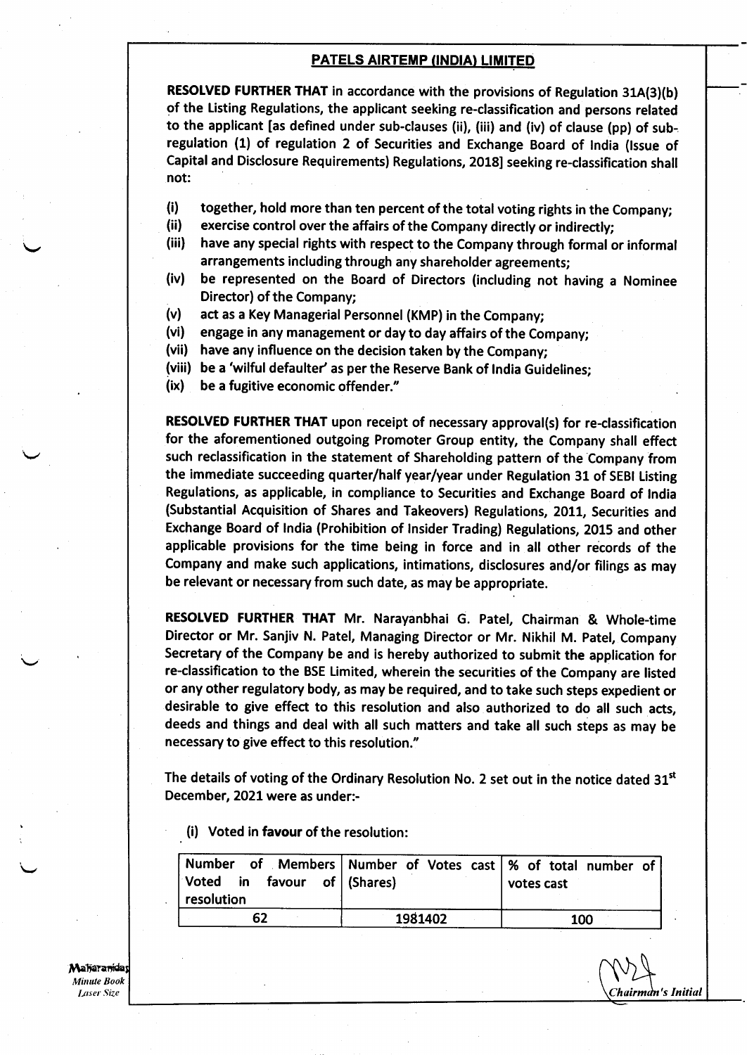RESOLVED FURTHER THAT in accordance with the provisions of Regulation 31A(3)(b) of the Listing Regulations, the applicant seeking re-classification and persons related to the applicant [as defined under sub-clauses (ii), (iii) and (iv) of clause (pp) of subregulation (1) of regulation 2 of Securities and Exchange Board of lndia (lssue of Capital and Disclosure Requirements) Regulations, 2018] seeking re-classification shall not:

- (i) together, hold more than ten percent of the total voting rights in the company;
- (ii ) exercise control over the affairs of the Company directly or indirectly;
- (iii) have any special rights with respect to the Company through formal or informal arrangements including through any shareholder agreements;
- be represented on the Board of Directors (including not having a Nominee Director) of the Company; (iv)
- act as a Key Managerial Personnel (KMP) in the Company; (v)
- engage in any management or day to day affairs of the Company; (vi)
- (vii) have any influence on the decision taken by the Company;
- (viii) be a 'wilful defaulter' as per the Reserve Bank of India Guidelines
- be a fugitive economic offender." (ix)

RESOLVED FURTHER THAT upon receipt of necessary approval(s) for re-classification for the aforementioned outgoing Promoter Group entity, the Company shall effect such reclassification in the statement of Shareholding pattern of the Company from the immediate succeeding quarter/half year/year under Regulation 31 of SEBI Listing Regulations, as applicable, in compliance to Securities and Exchange Board of tndia (Substantial Acquisition of Shares and Takeovers) Regulations, 2011, Securities and Exchange Board of lndia (Prohibition of lnsider Trading) Regulations, 2015 and other applicable provisions for the time being in force and in all other records of the Company and make such applications, intimations, disclosures and/or filings as may be relevant or necessary from such date, as may be appropriate.

RESOLVED FURTHER THAT Mr. Narayanbhai G. Patel, Chairman & Whole-time Director or Mr. Sanjiv N. Patel, Managing Director or Mr. Nikhil M. Patel, Company Secretary of the Company be and is hereby authorized to submit the application for. re-classification to the BSE Limited, wherein the securities of the Company are listed or any other regulatory body, as may be required, and to take such steps expedient or desirable to give effect to this resolution and also authorized to do all such acts, deeds and things and deal with all such matters and take all such steps as may be necessary to give effect to this resolution."

The details of voting of the Ordinary Resolution No. 2 set out in the notice dated  $31<sup>st</sup>$ December, 2021were as under:-

(i) Voted in favour of the resolution:

| Number of Members Number of Votes cast   % of total number of<br>Voted in favour of (Shares)<br>resolution |         | votes cast |
|------------------------------------------------------------------------------------------------------------|---------|------------|
| 62                                                                                                         | 1981402 | 100        |

Chairmàn's Initial

Maharanidas Minute Book Laser Size